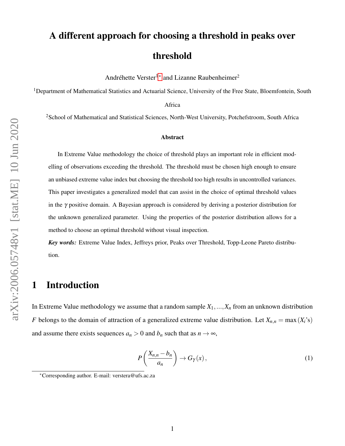# A different approach for choosing a threshold in peaks over threshold

Andréhette Verster<sup>1[∗](#page-0-0)</sup> and Lizanne Raubenheimer<sup>2</sup>

<sup>1</sup>Department of Mathematical Statistics and Actuarial Science, University of the Free State, Bloemfontein, South

Africa

<sup>2</sup>School of Mathematical and Statistical Sciences, North-West University, Potchefstroom, South Africa

#### Abstract

In Extreme Value methodology the choice of threshold plays an important role in efficient modelling of observations exceeding the threshold. The threshold must be chosen high enough to ensure an unbiased extreme value index but choosing the threshold too high results in uncontrolled variances. This paper investigates a generalized model that can assist in the choice of optimal threshold values in the  $\gamma$  positive domain. A Bayesian approach is considered by deriving a posterior distribution for the unknown generalized parameter. Using the properties of the posterior distribution allows for a method to choose an optimal threshold without visual inspection.

*Key words:* Extreme Value Index, Jeffreys prior, Peaks over Threshold, Topp-Leone Pareto distribution.

### 1 Introduction

In Extreme Value methodology we assume that a random sample  $X_1, \ldots, X_n$  from an unknown distribution *F* belongs to the domain of attraction of a generalized extreme value distribution. Let  $X_{n,n} = \max(X_i)$ 's) and assume there exists sequences  $a_n > 0$  and  $b_n$  such that as  $n \to \infty$ ,

<span id="page-0-1"></span>
$$
P\left(\frac{X_{n,n}-b_n}{a_n}\right) \to G_{\gamma}(x),\tag{1}
$$

<span id="page-0-0"></span><sup>∗</sup>Corresponding author. E-mail: verstera@ufs.ac.za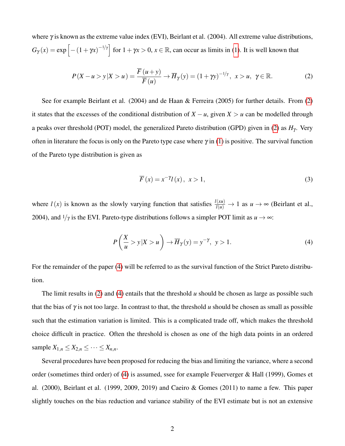where  $\gamma$  is known as the extreme value index (EVI), Beirlant et al. (2004). All extreme value distributions,  $G_{\gamma}(x) = \exp\left[-(1+\gamma x)^{-1/\gamma}\right]$  for  $1+\gamma x > 0, x \in \mathbb{R}$ , can occur as limits in [\(1\)](#page-0-1). It is well known that

$$
P(X - u > y | X > u) = \frac{\overline{F}(u + y)}{\overline{F}(u)} \to \overline{H}_{\gamma}(y) = (1 + \gamma y)^{-1/\gamma}, \ x > u, \ \gamma \in \mathbb{R}.
$$
 (2)

See for example Beirlant et al. (2004) and de Haan & Ferreira (2005) for further details. From [\(2\)](#page-1-0) it states that the excesses of the conditional distribution of  $X - u$ , given  $X > u$  can be modelled through a peaks over threshold (POT) model, the generalized Pareto distribution (GPD) given in [\(2\)](#page-1-0) as  $H<sub>\gamma</sub>$ . Very often in literature the focus is only on the Pareto type case where  $\gamma$  in [\(1\)](#page-0-1) is positive. The survival function of the Pareto type distribution is given as

<span id="page-1-1"></span><span id="page-1-0"></span>
$$
\overline{F}(x) = x^{-\gamma} l(x), \quad x > 1,
$$
\n(3)

where  $l(x)$  is known as the slowly varying function that satisfies  $\frac{l(xu)}{l(u)} \to 1$  as  $u \to \infty$  (Beirlant et al., 2004), and  $1/\gamma$  is the EVI. Pareto-type distributions follows a simpler POT limit as  $u \rightarrow \infty$ :

$$
P\left(\frac{X}{u} > y \mid X > u\right) \to \overline{H}_{\gamma}(y) = y^{-\gamma}, \ y > 1. \tag{4}
$$

For the remainder of the paper [\(4\)](#page-1-1) will be referred to as the survival function of the Strict Pareto distribution.

The limit results in [\(2\)](#page-1-0) and [\(4\)](#page-1-1) entails that the threshold *u* should be chosen as large as possible such that the bias of  $\gamma$  is not too large. In contrast to that, the threshold *u* should be chosen as small as possible such that the estimation variation is limited. This is a complicated trade off, which makes the threshold choice difficult in practice. Often the threshold is chosen as one of the high data points in an ordered sample  $X_{1,n} \leq X_{2,n} \leq \cdots \leq X_{n,n}$ .

Several procedures have been proposed for reducing the bias and limiting the variance, where a second order (sometimes third order) of [\(4\)](#page-1-1) is assumed, ssee for example Feuerverger & Hall (1999), Gomes et al. (2000), Beirlant et al. (1999, 2009, 2019) and Caeiro & Gomes (2011) to name a few. This paper slightly touches on the bias reduction and variance stability of the EVI estimate but is not an extensive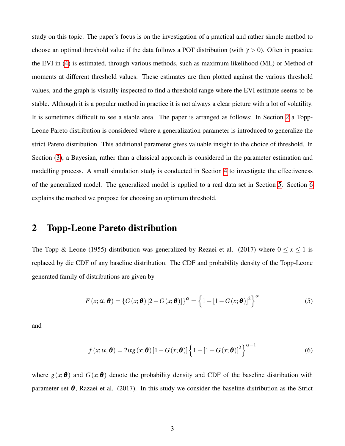study on this topic. The paper's focus is on the investigation of a practical and rather simple method to choose an optimal threshold value if the data follows a POT distribution (with  $\gamma > 0$ ). Often in practice the EVI in [\(4\)](#page-1-1) is estimated, through various methods, such as maximum likelihood (ML) or Method of moments at different threshold values. These estimates are then plotted against the various threshold values, and the graph is visually inspected to find a threshold range where the EVI estimate seems to be stable. Although it is a popular method in practice it is not always a clear picture with a lot of volatility. It is sometimes difficult to see a stable area. The paper is arranged as follows: In Section [2](#page-2-0) a Topp-Leone Pareto distribution is considered where a generalization parameter is introduced to generalize the strict Pareto distribution. This additional parameter gives valuable insight to the choice of threshold. In Section [\(3\)](#page-4-0), a Bayesian, rather than a classical approach is considered in the parameter estimation and modelling process. A small simulation study is conducted in Section [4](#page-5-0) to investigate the effectiveness of the generalized model. The generalized model is applied to a real data set in Section [5.](#page-8-0) Section [6](#page-11-0) explains the method we propose for choosing an optimum threshold.

#### <span id="page-2-0"></span>2 Topp-Leone Pareto distribution

The Topp & Leone (1955) distribution was generalized by Rezaei et al. (2017) where  $0 \le x \le 1$  is replaced by die CDF of any baseline distribution. The CDF and probability density of the Topp-Leone generated family of distributions are given by

<span id="page-2-1"></span>
$$
F(x; \alpha, \boldsymbol{\theta}) = \left\{ G(x; \boldsymbol{\theta}) \left[ 2 - G(x; \boldsymbol{\theta}) \right] \right\}^{\alpha} = \left\{ 1 - \left[ 1 - G(x; \boldsymbol{\theta}) \right]^2 \right\}^{\alpha}
$$
 (5)

and

<span id="page-2-2"></span>
$$
f(x; \alpha, \boldsymbol{\theta}) = 2\alpha g(x; \boldsymbol{\theta}) \left[1 - G(x; \boldsymbol{\theta})\right] \left\{1 - \left[1 - G(x; \boldsymbol{\theta})\right]^2\right\}^{\alpha - 1}
$$
(6)

where  $g(x; \theta)$  and  $G(x; \theta)$  denote the probability density and CDF of the baseline distribution with parameter set  $\theta$ , Razaei et al. (2017). In this study we consider the baseline distribution as the Strict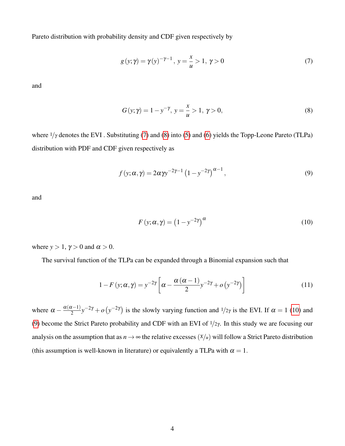Pareto distribution with probability density and CDF given respectively by

<span id="page-3-0"></span>
$$
g(y; \gamma) = \gamma(y)^{-\gamma - 1}, \ y = \frac{x}{u} > 1, \ \gamma > 0
$$
 (7)

and

<span id="page-3-1"></span>
$$
G(y; \gamma) = 1 - y^{-\gamma}, \ y = \frac{x}{u} > 1, \ \gamma > 0,
$$
\n(8)

where  $1/\gamma$  denotes the EVI. Substituting [\(7\)](#page-3-0) and [\(8\)](#page-3-1) into [\(5\)](#page-2-1) and [\(6\)](#page-2-2) yields the Topp-Leone Pareto (TLPa) distribution with PDF and CDF given respectively as

$$
f(y; \alpha, \gamma) = 2\alpha \gamma y^{-2\gamma - 1} \left(1 - y^{-2\gamma}\right)^{\alpha - 1},\tag{9}
$$

and

<span id="page-3-3"></span><span id="page-3-2"></span>
$$
F(y; \alpha, \gamma) = (1 - y^{-2\gamma})^{\alpha}
$$
 (10)

where  $y > 1$ ,  $\gamma > 0$  and  $\alpha > 0$ .

The survival function of the TLPa can be expanded through a Binomial expansion such that

$$
1 - F(y; \alpha, \gamma) = y^{-2\gamma} \left[ \alpha - \frac{\alpha (\alpha - 1)}{2} y^{-2\gamma} + o\left(y^{-2\gamma}\right) \right]
$$
(11)

where  $\alpha - \frac{\alpha(\alpha-1)}{2}$  $\frac{x-1}{2}y^{-2\gamma} + o(y^{-2\gamma})$  is the slowly varying function and  $\frac{1}{2\gamma}$  is the EVI. If  $\alpha = 1$  [\(10\)](#page-3-2) and [\(9\)](#page-3-3) become the Strict Pareto probability and CDF with an EVI of  $1/2\gamma$ . In this study we are focusing our analysis on the assumption that as  $n \to \infty$  the relative excesses  $(X/\mu)$  will follow a Strict Pareto distribution (this assumption is well-known in literature) or equivalently a TLPa with  $\alpha = 1$ .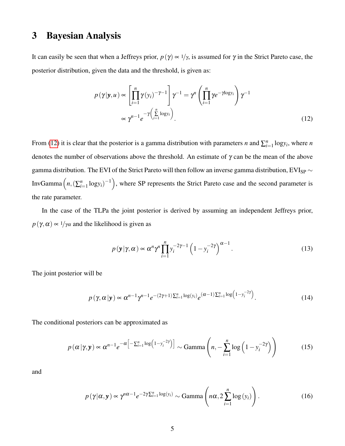## <span id="page-4-0"></span>3 Bayesian Analysis

It can easily be seen that when a Jeffreys prior,  $p(\gamma) \propto 1/\gamma$ , is assumed for  $\gamma$  in the Strict Pareto case, the posterior distribution, given the data and the threshold, is given as:

<span id="page-4-1"></span>
$$
p(\gamma|\mathbf{y}, u) \propto \left[\prod_{i=1}^{n} \gamma(y_i)^{-\gamma - 1}\right] \gamma^{-1} = \gamma^{n} \left(\prod_{i=1}^{n} \gamma e^{-\gamma \log y_i}\right) \gamma^{-1}
$$

$$
\propto \gamma^{n-1} e^{-\gamma \left(\sum_{i=1}^{n} \log y_i\right)}.
$$
(12)

From [\(12\)](#page-4-1) it is clear that the posterior is a gamma distribution with parameters *n* and  $\sum_{i=1}^{n} \log y_i$ , where *n* denotes the number of observations above the threshold. An estimate of  $\gamma$  can be the mean of the above gamma distribution. The EVI of the Strict Pareto will then follow an inverse gamma distribution, EVI<sub>SP</sub>  $\sim$ InvGamma  $\left(n, (\sum_{i=1}^n \log y_i)^{-1}\right)$ , where SP represents the Strict Pareto case and the second parameter is the rate parameter.

In the case of the TLPa the joint posterior is derived by assuming an independent Jeffreys prior,  $p(\gamma, \alpha) \propto 1/\gamma \alpha$  and the likelihood is given as

<span id="page-4-5"></span><span id="page-4-4"></span><span id="page-4-2"></span>
$$
p(\mathbf{y}|\boldsymbol{\gamma},\alpha) \propto \alpha^n \gamma^n \prod_{i=1}^n y_i^{-2\gamma-1} \left(1 - y_i^{-2\gamma}\right)^{\alpha-1}.
$$
 (13)

The joint posterior will be

$$
p(\gamma, \alpha | \mathbf{y}) \propto \alpha^{n-1} \gamma^{n-1} e^{-(2\gamma+1)\sum_{i=1}^{n} \log(y_i)} e^{(\alpha-1)\sum_{i=1}^{n} \log(1-y_i^{-2\gamma})}.
$$
 (14)

The conditional posteriors can be approximated as

$$
p\left(\alpha|\gamma,\mathbf{y}\right) \propto \alpha^{n-1} e^{-\alpha\left[-\sum_{i=1}^{n} \log\left(1-\mathbf{y}_i^{-2\gamma}\right)\right]} \sim \text{Gamma}\left(n, -\sum_{i=1}^{n} \log\left(1-\mathbf{y}_i^{-2\gamma}\right)\right) \tag{15}
$$

and

<span id="page-4-3"></span>
$$
p(\gamma|\alpha, \mathbf{y}) \propto \gamma^{n\alpha - 1} e^{-2\gamma \sum_{i=1}^{n} \log(y_i)} \sim \text{Gamma}\left(n\alpha, 2\sum_{i=1}^{n} \log(y_i)\right). \tag{16}
$$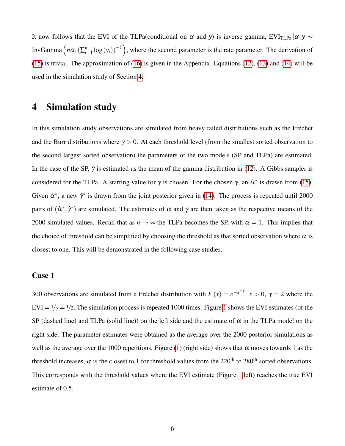It now follows that the EVI of the TLPa(conditional on  $\alpha$  and *y*) is inverse gamma, EVI<sub>TLPa</sub>  $|\alpha, y \sim$ InvGamma  $\left(n\alpha,(\sum_{i=1}^n\log{(y_i)})^{-1}\right)$ , where the second parameter is the rate parameter. The derivation of [\(15\)](#page-4-2) is trivial. The approximation of [\(16\)](#page-4-3) is given in the Appendix. Equations [\(12\)](#page-4-1), [\(13\)](#page-4-4) and [\(14\)](#page-4-5) will be used in the simulation study of Section [4.](#page-5-0)

#### <span id="page-5-0"></span>4 Simulation study

In this simulation study observations are simulated from heavy tailed distributions such as the Fréchet and the Burr distributions where  $\gamma > 0$ . At each threshold level (from the smallest sorted observation to the second largest sorted observation) the parameters of the two models (SP and TLPa) are estimated. In the case of the SP,  $\hat{\gamma}$  is estimated as the mean of the gamma distribution in [\(12\)](#page-4-1). A Gibbs sampler is considered for the TLPa. A starting value for  $\gamma$  is chosen. For the chosen  $\gamma$ , an  $\hat{\alpha}^*$  is drawn from [\(15\)](#page-4-2). Given  $\hat{\alpha}^*$ , a new  $\hat{\gamma}^*$  is drawn from the joint posterior given in [\(14\)](#page-4-5). The process is repeated until 2000 pairs of  $(\hat{\alpha}^*, \hat{\gamma}^*)$  are simulated. The estimates of  $\alpha$  and  $\gamma$  are then taken as the respective means of the 2000 simulated values. Recall that as  $n \to \infty$  the TLPa becomes the SP, with  $\alpha = 1$ . This implies that the choice of threshold can be simplified by choosing the threshold as that sorted observation where  $\alpha$  is closest to one. This will be demonstrated in the following case studies.

#### Case 1

300 observations are simulated from a Fréchet distribution with  $F(x) = e^{-x^{-\gamma}}$ ,  $x > 0$ ,  $\gamma = 2$  where the  $EVI = \frac{1}{\gamma} = \frac{1}{2}$ . The simulation process is repeated [1](#page-6-0)000 times. Figure 1 shows the EVI estimates (of the SP (dashed line) and TLPa (solid line)) on the left side and the estimate of  $\alpha$  in the TLPa model on the right side. The parameter estimates were obtained as the average over the 2000 posterior simulations as well as the average over the 1000 repetitions. Figure [\(1\)](#page-6-0) (right side) shows that  $\alpha$  moves towards 1 as the threshold increases,  $\alpha$  is the closest to 1 for threshold values from the 220<sup>th</sup> to 280<sup>th</sup> sorted observations. This corresponds with the threshold values where the EVI estimate (Figure [1](#page-6-0) left) reaches the true EVI estimate of 0.5.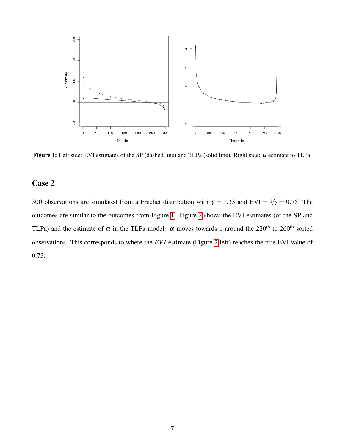<span id="page-6-0"></span>

Figure 1: Left side: EVI estimates of the SP (dashed line) and TLPa (solid line). Right side:  $\alpha$  estimate to TLPa.

#### Case 2

300 observations are simulated from a Fréchet distribution with  $\gamma = 1.33$  and EVI =  $1/\gamma = 0.75$ . The outcomes are similar to the outcomes from Figure [1.](#page-6-0) Figure [2](#page-7-0) shows the EVI estimates (of the SP and TLPa) and the estimate of  $\alpha$  in the TLPa model.  $\alpha$  moves towards 1 around the 220<sup>th</sup> to 260<sup>th</sup> sorted observations. This corresponds to where the *EV I* estimate (Figure [2](#page-7-0) left) reaches the true EVI value of 0.75.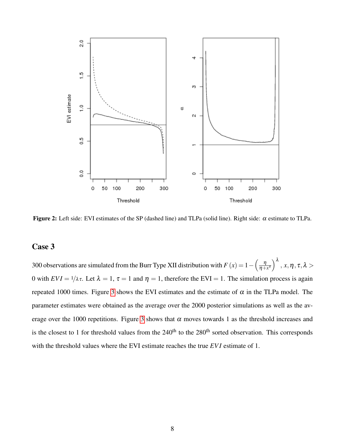<span id="page-7-0"></span>

Figure 2: Left side: EVI estimates of the SP (dashed line) and TLPa (solid line). Right side:  $\alpha$  estimate to TLPa.

#### Case 3

300 observations are simulated from the Burr Type XII distribution with  $F(x) = 1 - \left(\frac{\eta}{n+1}\right)$  $\left(\frac{\eta}{\eta+x^\tau}\right)^\lambda,\, x,\eta\,,\tau,\lambda>$ 0 with  $EVI = \frac{1}{\lambda \tau}$ . Let  $\lambda = 1$ ,  $\tau = 1$  and  $\eta = 1$ , therefore the EVI = 1. The simulation process is again repeated 1000 times. Figure [3](#page-8-1) shows the EVI estimates and the estimate of  $\alpha$  in the TLPa model. The parameter estimates were obtained as the average over the 2000 posterior simulations as well as the av-erage over the 1000 repetitions. Figure [3](#page-8-1) shows that  $\alpha$  moves towards 1 as the threshold increases and is the closest to 1 for threshold values from the  $240<sup>th</sup>$  to the  $280<sup>th</sup>$  sorted observation. This corresponds with the threshold values where the EVI estimate reaches the true *EVI* estimate of 1.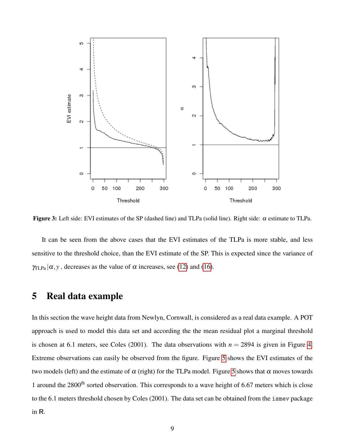<span id="page-8-1"></span>

**Figure 3:** Left side: EVI estimates of the SP (dashed line) and TLPa (solid line). Right side:  $\alpha$  estimate to TLPa.

It can be seen from the above cases that the EVI estimates of the TLPa is more stable, and less sensitive to the threshold choice, than the EVI estimate of the SP. This is expected since the variance of  $\gamma_{\text{ILPa}}|\alpha, y$ , decreases as the value of  $\alpha$  increases, see [\(12\)](#page-4-1) and [\(16\)](#page-4-3).

#### <span id="page-8-0"></span>5 Real data example

In this section the wave height data from Newlyn, Cornwall, is considered as a real data example. A POT approach is used to model this data set and according the the mean residual plot a marginal threshold is chosen at 6.1 meters, see Coles (2001). The data observations with  $n = 2894$  is given in Figure [4.](#page-9-0) Extreme observations can easily be observed from the figure. Figure [5](#page-10-0) shows the EVI estimates of the two models (left) and the estimate of  $\alpha$  (right) for the TLPa model. Figure [5](#page-10-0) shows that  $\alpha$  moves towards 1 around the 2800<sup>th</sup> sorted observation. This corresponds to a wave height of 6.67 meters which is close to the 6.1 meters threshold chosen by Coles (2001). The data set can be obtained from the ismev package in R.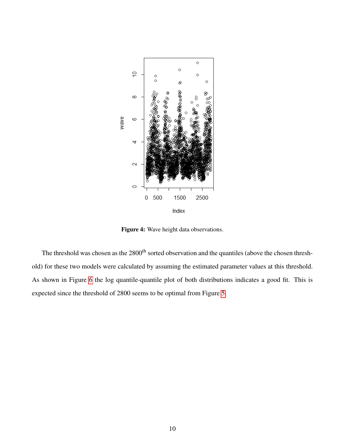<span id="page-9-0"></span>

Figure 4: Wave height data observations.

The threshold was chosen as the 2800<sup>th</sup> sorted observation and the quantiles (above the chosen threshold) for these two models were calculated by assuming the estimated parameter values at this threshold. As shown in Figure [6](#page-11-1) the log quantile-quantile plot of both distributions indicates a good fit. This is expected since the threshold of 2800 seems to be optimal from Figure [5.](#page-10-0)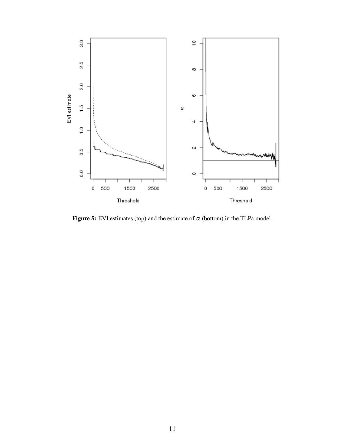<span id="page-10-0"></span>

Figure 5: EVI estimates (top) and the estimate of  $\alpha$  (bottom) in the TLPa model.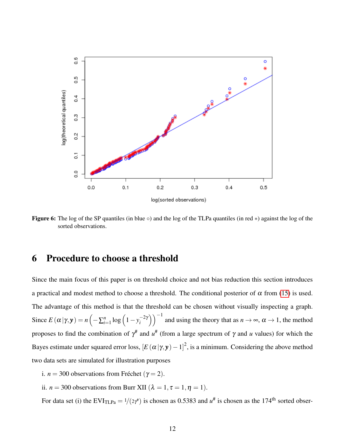<span id="page-11-1"></span>

Figure 6: The log of the SP quantiles (in blue  $\circ$ ) and the log of the TLPa quantiles (in red  $*$ ) against the log of the sorted observations.

### <span id="page-11-0"></span>6 Procedure to choose a threshold

Since the main focus of this paper is on threshold choice and not bias reduction this section introduces a practical and modest method to choose a threshold. The conditional posterior of  $\alpha$  from [\(15\)](#page-4-2) is used. The advantage of this method is that the threshold can be chosen without visually inspecting a graph. Since  $E(\alpha|\gamma, \mathbf{y}) = n\left(-\sum_{i=1}^{n} \log\left(1 - y_i^{-2\gamma}\right)\right)$  $\binom{-2\gamma}{i}$  and using the theory that as  $n \to \infty$ ,  $\alpha \to 1$ , the method proposes to find the combination of  $\gamma^{\#}$  and  $u^{\#}$  (from a large spectrum of γ and *u* values) for which the Bayes estimate under squared error loss,  $[E(\alpha|\gamma, y) - 1]^2$ , is a minimum. Considering the above method two data sets are simulated for illustration purposes

- i.  $n = 300$  observations from Fréchet ( $\gamma = 2$ ).
- ii. *n* = 300 observations from Burr XII ( $\lambda = 1, \tau = 1, \eta = 1$ ).

For data set (i) the  $EVI_{TLPa} = 1/(2\gamma^*)$  is chosen as 0.5383 and  $u^{\#}$  is chosen as the 174<sup>th</sup> sorted obser-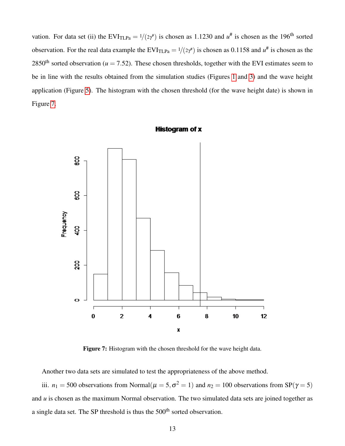vation. For data set (ii) the  $EVI<sub>TLPa</sub> = 1/(2\gamma^*)$  is chosen as 1.1230 and  $u^{\#}$  is chosen as the 196<sup>th</sup> sorted observation. For the real data example the  $EVI_{TLPa} = 1/(2\gamma^*)$  is chosen as 0.1158 and  $u^{\#}$  is chosen as the 2850<sup>th</sup> sorted observation ( $u = 7.52$ ). These chosen thresholds, together with the EVI estimates seem to be in line with the results obtained from the simulation studies (Figures [1](#page-6-0) and [3\)](#page-8-1) and the wave height application (Figure [5\)](#page-10-0). The histogram with the chosen threshold (for the wave height date) is shown in Figure [7.](#page-12-0)

<span id="page-12-0"></span>

Histogram of x

Figure 7: Histogram with the chosen threshold for the wave height data.

Another two data sets are simulated to test the appropriateness of the above method.

iii.  $n_1 = 500$  observations from Normal( $\mu = 5, \sigma^2 = 1$ ) and  $n_2 = 100$  observations from SP( $\gamma = 5$ ) and *u* is chosen as the maximum Normal observation. The two simulated data sets are joined together as a single data set. The SP threshold is thus the 500<sup>th</sup> sorted observation.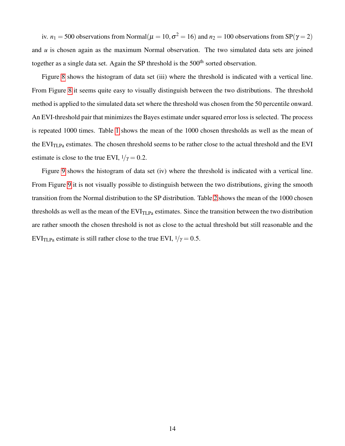iv.  $n_1 = 500$  observations from Normal $(\mu = 10, \sigma^2 = 16)$  and  $n_2 = 100$  observations from SP( $\gamma = 2$ ) and *u* is chosen again as the maximum Normal observation. The two simulated data sets are joined together as a single data set. Again the SP threshold is the 500<sup>th</sup> sorted observation.

Figure [8](#page-14-0) shows the histogram of data set (iii) where the threshold is indicated with a vertical line. From Figure [8](#page-14-0) it seems quite easy to visually distinguish between the two distributions. The threshold method is applied to the simulated data set where the threshold was chosen from the 50 percentile onward. An EVI-threshold pair that minimizes the Bayes estimate under squared error loss is selected. The process is repeated 1000 times. Table [1](#page-14-1) shows the mean of the 1000 chosen thresholds as well as the mean of the  $EVI<sub>TLPa</sub>$  estimates. The chosen threshold seems to be rather close to the actual threshold and the EVI estimate is close to the true EVI,  $1/\gamma = 0.2$ .

Figure [9](#page-15-0) shows the histogram of data set (iv) where the threshold is indicated with a vertical line. From Figure [9](#page-15-0) it is not visually possible to distinguish between the two distributions, giving the smooth transition from the Normal distribution to the SP distribution. Table [2](#page-15-1) shows the mean of the 1000 chosen thresholds as well as the mean of the  $EVI_{TLPa}$  estimates. Since the transition between the two distribution are rather smooth the chosen threshold is not as close to the actual threshold but still reasonable and the EVI<sub>TLPa</sub> estimate is still rather close to the true EVI,  $1/\gamma = 0.5$ .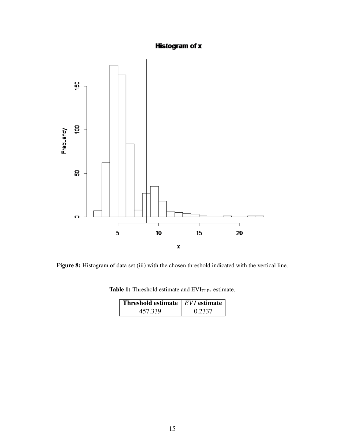#### **Histogram of x**

<span id="page-14-0"></span>

<span id="page-14-1"></span>Figure 8: Histogram of data set (iii) with the chosen threshold indicated with the vertical line.

Table 1: Threshold estimate and  $\text{EVI}_\text{TLPa}$  estimate.

| Threshold estimate $ EVI $ estimate |        |
|-------------------------------------|--------|
| 457.339                             | 0.2337 |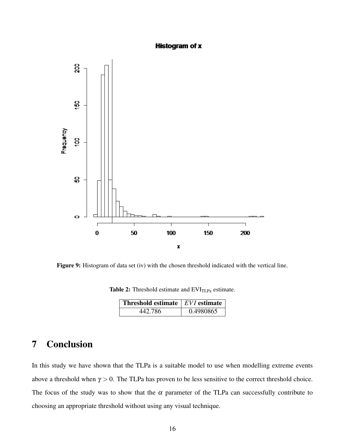#### **Histogram of x**

<span id="page-15-0"></span>

<span id="page-15-1"></span>Figure 9: Histogram of data set (iv) with the chosen threshold indicated with the vertical line.

Table 2: Threshold estimate and  $EVI<sub>TLPa</sub>$  estimate.

| <b>Threshold estimate</b>   EVI estimate |           |
|------------------------------------------|-----------|
| 442.786                                  | 0.4980865 |

## 7 Conclusion

In this study we have shown that the TLPa is a suitable model to use when modelling extreme events above a threshold when  $\gamma > 0$ . The TLPa has proven to be less sensitive to the correct threshold choice. The focus of the study was to show that the  $\alpha$  parameter of the TLPa can successfully contribute to choosing an appropriate threshold without using any visual technique.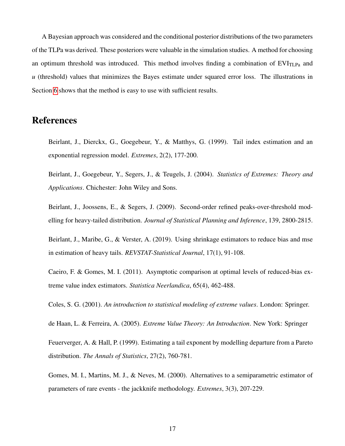A Bayesian approach was considered and the conditional posterior distributions of the two parameters of the TLPa was derived. These posteriors were valuable in the simulation studies. A method for choosing an optimum threshold was introduced. This method involves finding a combination of  $EVI_{TLPa}$  and *u* (threshold) values that minimizes the Bayes estimate under squared error loss. The illustrations in Section [6](#page-11-0) shows that the method is easy to use with sufficient results.

### References

Beirlant, J., Dierckx, G., Goegebeur, Y., & Matthys, G. (1999). Tail index estimation and an exponential regression model. *Extremes*, 2(2), 177-200.

Beirlant, J., Goegebeur, Y., Segers, J., & Teugels, J. (2004). *Statistics of Extremes: Theory and Applications*. Chichester: John Wiley and Sons.

Beirlant, J., Joossens, E., & Segers, J. (2009). Second-order refined peaks-over-threshold modelling for heavy-tailed distribution. *Journal of Statistical Planning and Inference*, 139, 2800-2815.

Beirlant, J., Maribe, G., & Verster, A. (2019). Using shrinkage estimators to reduce bias and mse in estimation of heavy tails. *REVSTAT-Statistical Journal*, 17(1), 91-108.

Caeiro, F. & Gomes, M. I. (2011). Asymptotic comparison at optimal levels of reduced-bias extreme value index estimators. *Statistica Neerlandica*, 65(4), 462-488.

Coles, S. G. (2001). *An introduction to statistical modeling of extreme values*. London: Springer.

de Haan, L. & Ferreira, A. (2005). *Extreme Value Theory: An Introduction*. New York: Springer

Feuerverger, A. & Hall, P. (1999). Estimating a tail exponent by modelling departure from a Pareto distribution. *The Annals of Statistics*, 27(2), 760-781.

Gomes, M. I., Martins, M. J., & Neves, M. (2000). Alternatives to a semiparametric estimator of parameters of rare events - the jackknife methodology. *Extremes*, 3(3), 207-229.